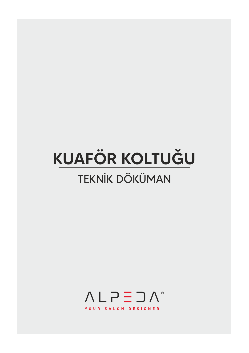# **KUAFÖR KOLTUĞU TEKNİK DÖKÜMAN**

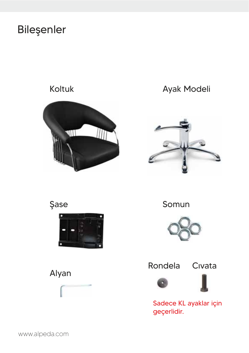#### Bileşenler

#### **Koltuk**



#### Ayak Modeli







Somun





Sadece KL ayaklar için geçerlidir.



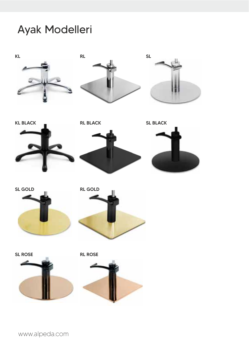#### Ayak Modelleri









**RL BLACK** 



SL GOLD









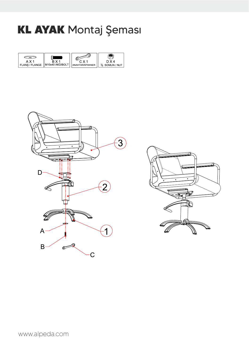#### **KL AYAK** Montaj Şeması





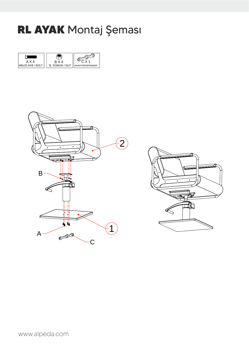#### RL AYAK Montaj Şeması





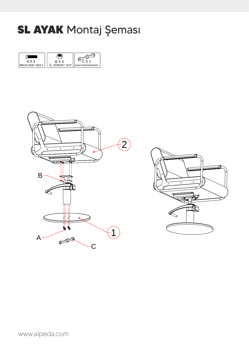#### **SL AYAK** Montaj Şeması





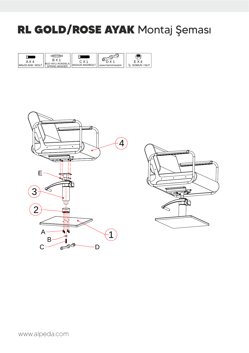### RL GOLD/ROSE AYAK Montaj Şeması





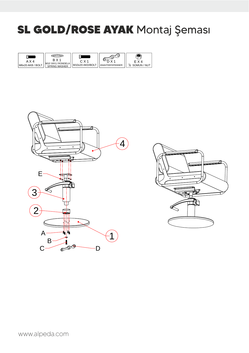### **SL GOLD/ROSE AYAK Montaj Şeması**

|                  |                        | ۱÷    |                 |                              |
|------------------|------------------------|-------|-----------------|------------------------------|
| A X 4            | R X 1<br>∕I I RONDEI A | C X 1 |                 | $\times 4$                   |
| M6x20 AKB / BOLT | <b>SPRING WASHER</b>   | IM10x | ANAHTAR/SPANNER | $\frac{3}{8}$<br>SOMUN / NUT |